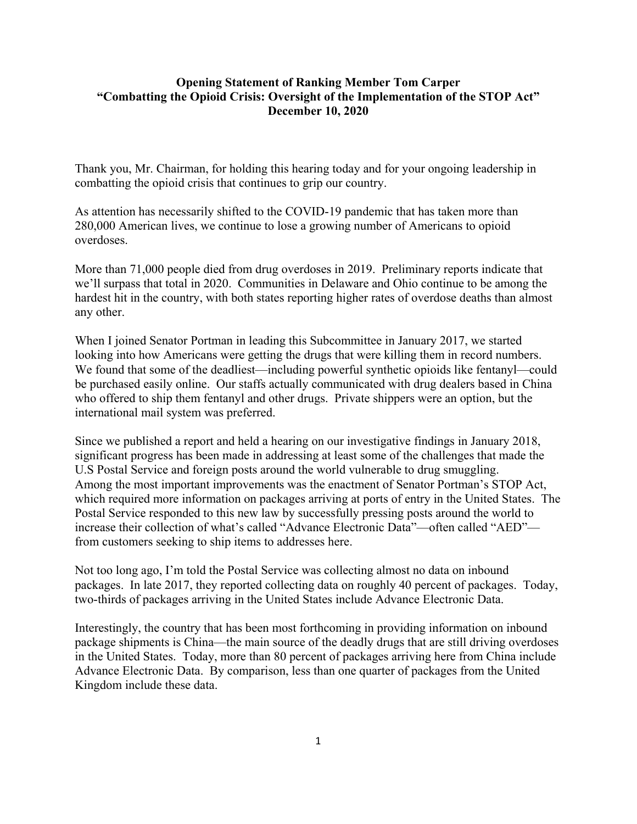## **Opening Statement of Ranking Member Tom Carper "Combatting the Opioid Crisis: Oversight of the Implementation of the STOP Act" December 10, 2020**

Thank you, Mr. Chairman, for holding this hearing today and for your ongoing leadership in combatting the opioid crisis that continues to grip our country.

As attention has necessarily shifted to the COVID-19 pandemic that has taken more than 280,000 American lives, we continue to lose a growing number of Americans to opioid overdoses.

More than 71,000 people died from drug overdoses in 2019. Preliminary reports indicate that we'll surpass that total in 2020. Communities in Delaware and Ohio continue to be among the hardest hit in the country, with both states reporting higher rates of overdose deaths than almost any other.

When I joined Senator Portman in leading this Subcommittee in January 2017, we started looking into how Americans were getting the drugs that were killing them in record numbers. We found that some of the deadliest—including powerful synthetic opioids like fentanyl—could be purchased easily online. Our staffs actually communicated with drug dealers based in China who offered to ship them fentanyl and other drugs. Private shippers were an option, but the international mail system was preferred.

Since we published a report and held a hearing on our investigative findings in January 2018, significant progress has been made in addressing at least some of the challenges that made the U.S Postal Service and foreign posts around the world vulnerable to drug smuggling. Among the most important improvements was the enactment of Senator Portman's STOP Act, which required more information on packages arriving at ports of entry in the United States. The Postal Service responded to this new law by successfully pressing posts around the world to increase their collection of what's called "Advance Electronic Data"—often called "AED" from customers seeking to ship items to addresses here.

Not too long ago, I'm told the Postal Service was collecting almost no data on inbound packages. In late 2017, they reported collecting data on roughly 40 percent of packages. Today, two-thirds of packages arriving in the United States include Advance Electronic Data.

Interestingly, the country that has been most forthcoming in providing information on inbound package shipments is China—the main source of the deadly drugs that are still driving overdoses in the United States. Today, more than 80 percent of packages arriving here from China include Advance Electronic Data. By comparison, less than one quarter of packages from the United Kingdom include these data.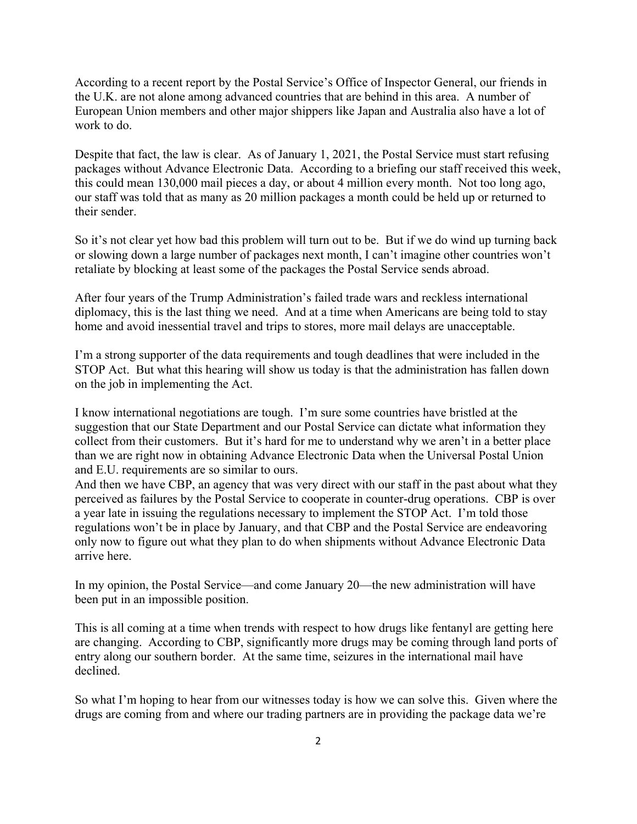According to a recent report by the Postal Service's Office of Inspector General, our friends in the U.K. are not alone among advanced countries that are behind in this area. A number of European Union members and other major shippers like Japan and Australia also have a lot of work to do.

Despite that fact, the law is clear. As of January 1, 2021, the Postal Service must start refusing packages without Advance Electronic Data. According to a briefing our staff received this week, this could mean 130,000 mail pieces a day, or about 4 million every month. Not too long ago, our staff was told that as many as 20 million packages a month could be held up or returned to their sender.

So it's not clear yet how bad this problem will turn out to be. But if we do wind up turning back or slowing down a large number of packages next month, I can't imagine other countries won't retaliate by blocking at least some of the packages the Postal Service sends abroad.

After four years of the Trump Administration's failed trade wars and reckless international diplomacy, this is the last thing we need. And at a time when Americans are being told to stay home and avoid inessential travel and trips to stores, more mail delays are unacceptable.

I'm a strong supporter of the data requirements and tough deadlines that were included in the STOP Act. But what this hearing will show us today is that the administration has fallen down on the job in implementing the Act.

I know international negotiations are tough. I'm sure some countries have bristled at the suggestion that our State Department and our Postal Service can dictate what information they collect from their customers. But it's hard for me to understand why we aren't in a better place than we are right now in obtaining Advance Electronic Data when the Universal Postal Union and E.U. requirements are so similar to ours.

And then we have CBP, an agency that was very direct with our staff in the past about what they perceived as failures by the Postal Service to cooperate in counter-drug operations. CBP is over a year late in issuing the regulations necessary to implement the STOP Act. I'm told those regulations won't be in place by January, and that CBP and the Postal Service are endeavoring only now to figure out what they plan to do when shipments without Advance Electronic Data arrive here.

In my opinion, the Postal Service—and come January 20—the new administration will have been put in an impossible position.

This is all coming at a time when trends with respect to how drugs like fentanyl are getting here are changing. According to CBP, significantly more drugs may be coming through land ports of entry along our southern border. At the same time, seizures in the international mail have declined.

So what I'm hoping to hear from our witnesses today is how we can solve this. Given where the drugs are coming from and where our trading partners are in providing the package data we're